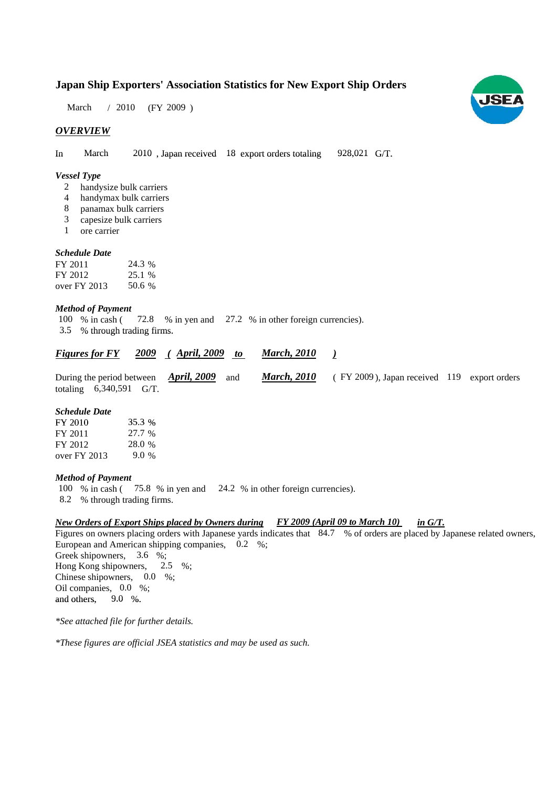## **Japan Ship Exporters' Association Statistics for New Export Ship Orders**

March / 2010 (FY 2009)

## *OVERVIEW*

In March 2010, Japan received 18 export orders totaling 928,021 G/T. 928,021 G/T.

#### *Vessel Type*

- handysize bulk carriers 2
- handymax bulk carriers 4
- panamax bulk carriers 8
- capesize bulk carriers 3
- ore carrier 1

## *Schedule Date*

| FY 2011      | 24.3 % |
|--------------|--------|
| FY 2012      | 25.1 % |
| over FY 2013 | 50.6 % |

#### *Method of Payment*

% in cash (72.8 % in yen and 27.2 % in other foreign currencies). 3.5 % through trading firms. % through trading 100 % in cash (

| <b>Figures for FY</b> |                           |                                                         | <b>2009</b> (April, 2009 to March, 2010 |                                             |  |
|-----------------------|---------------------------|---------------------------------------------------------|-----------------------------------------|---------------------------------------------|--|
|                       |                           | During the period between $\rightarrow$ April, 2009 and | <b>March, 2010</b>                      | (FY 2009), Japan received 119 export orders |  |
|                       | totaling $6,340,591$ G/T. |                                                         |                                         |                                             |  |

#### *Schedule Date*

| FY 2010        | 35.3 %  |
|----------------|---------|
| FY 2011        | 27.7 %  |
| FY 2012        | 28.0 %  |
| over $FY$ 2013 | $9.0\%$ |

#### *Method of Payment*

100 % in cash (75.8 % in yen and 24.2 % in other foreign currencies).

8.2 % through trading firms.

#### *New Orders of Export Ships placed by Owners during FY 2009 (April 09 to March 10) in G/T.*

Figures on owners placing orders with Japanese yards indicates that 84.7 % of orders are placed by Japanese related owners, European and American shipping companies, 0.2 %; Greek shipowners,  $3.6\%$ ; Hong Kong shipowners,  $2.5\%$ ; Chinese shipowners,  $0.0\%$ ; Oil companies, 0.0 %; and others,  $9.0\%$ . 9.0 %. 2.5

*\*See attached file for further details.*

*\*These figures are official JSEA statistics and may be used as such.*

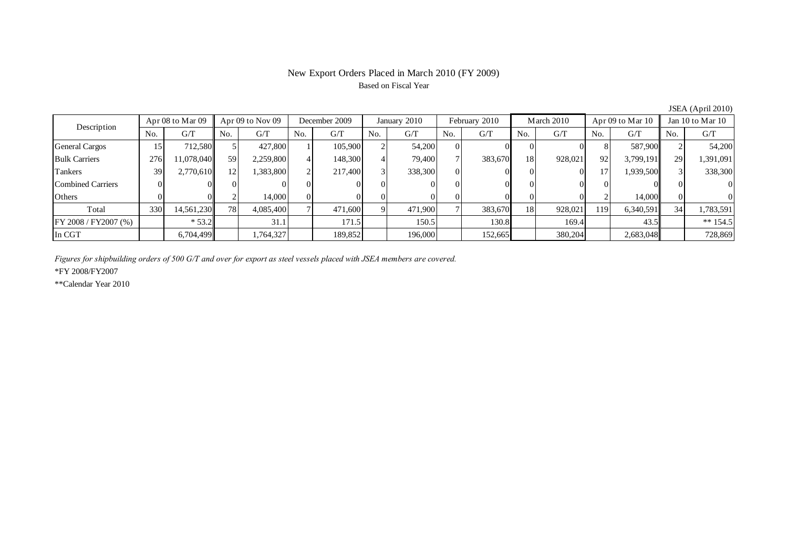# New Export Orders Placed in March 2010 (FY 2009) Based on Fiscal Year

| Description           | Apr $08$ to Mar $09$ |            | Apr $09$ to Nov $09$ |           | December 2009 |         | January 2010 |         | February 2010 |         | March 2010 |         | Apr $09$ to Mar $10$ |           | Jan 10 to Mar 10 |            |
|-----------------------|----------------------|------------|----------------------|-----------|---------------|---------|--------------|---------|---------------|---------|------------|---------|----------------------|-----------|------------------|------------|
|                       | No.                  | G/T        | No.                  | G/T       | No.           | G/T     | No.          | G/T     | No.           | G/T     | No.        | G/T     | No.                  | G/T       | No.              | G/T        |
| <b>General Cargos</b> | 15                   | 712,580    |                      | 427,800   |               | 105,900 |              | 54,200  | $\mathbf{U}$  |         |            |         | $\Delta$             | 587,900   |                  | 54,200     |
| <b>Bulk Carriers</b>  | 276                  | 1,078,040  | 59                   | 2,259,800 |               | 148,300 |              | 79,400  |               | 383,670 | <b>18</b>  | 928,021 | 92                   | 3,799,191 | 29               | 1,391,091  |
| Tankers               | 39                   | 2,770,610  | 12.                  | 1,383,800 | ◠             | 217,400 | P            | 338,300 | $\Omega$      |         |            |         | 17                   | 1,939,500 |                  | 338,300    |
| Combined Carriers     |                      |            |                      |           |               |         |              |         |               |         |            |         |                      |           |                  | $\Omega$   |
| <b>Others</b>         |                      |            |                      | 14,000    | $\Omega$      |         |              |         |               |         |            |         |                      | 14,000    |                  | $\Omega$   |
| Total                 | 330                  | 14,561,230 | 781                  | 4,085,400 |               | 471,600 | Ο.           | 471,900 |               | 383,670 | <b>18</b>  | 928,021 | 119                  | 6,340,591 | 34               | 1,783,591  |
| FY 2008 / FY2007 (%)  |                      | $* 53.2$   |                      | 31.1      |               | 171.5   |              | 150.5   |               | 130.8   |            | 169.4   |                      | 43.5      |                  | $** 154.5$ |
| In CGT                |                      | 6,704,499  |                      | .764,327  |               | 189,852 |              | 196,000 |               | 152,665 |            | 380,204 |                      | 2,683,048 |                  | 728,869    |

JSEA (April 2010)

*Figures for shipbuilding orders of 500 G/T and over for export as steel vessels placed with JSEA members are covered.*

\*FY 2008/FY2007

\*\*Calendar Year 2010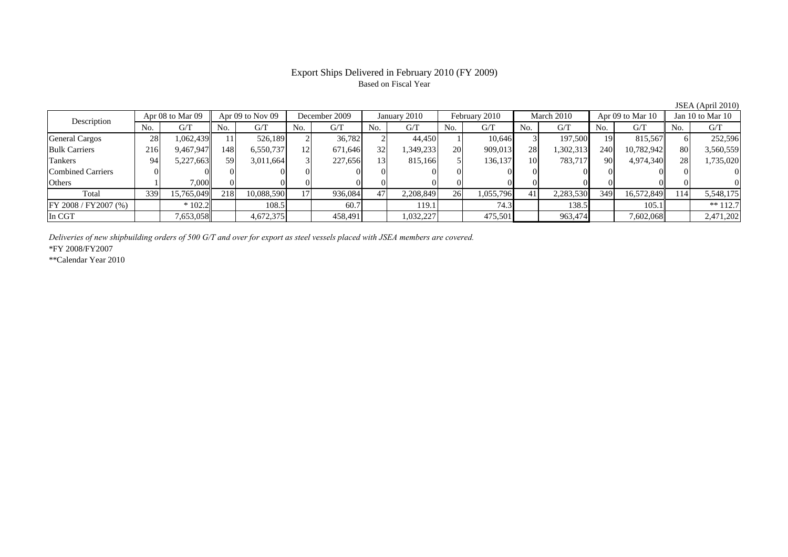## Export Ships Delivered in February 2010 (FY 2009) Based on Fiscal Year

JSEA (April 2010)

| Description              | Apr 08 to Mar 09 |            | Apr $09$ to Nov $09$ |            | December 2009  | January 2010 |     | February 2010 |           | March 2010 |     |           | Apr 09 to Mar 10 | Jan 10 to Mar 10 |     |            |
|--------------------------|------------------|------------|----------------------|------------|----------------|--------------|-----|---------------|-----------|------------|-----|-----------|------------------|------------------|-----|------------|
|                          | No.              | G/T        | No.                  | G/T        | No.            | G/T          | No. | G/T           | No.       | G/T        | No. | G/T       | No.              | G/T              | No. | G/T        |
| <b>General Cargos</b>    | 28               | .062,439   |                      | 526.189    |                | 36,782       |     | 44.450        |           | 10.646     |     | 197,500   | 19               | 815.567          |     | 252,596    |
| <b>Bulk Carriers</b>     | 216              | 9,467,947  | 148                  | 6,550,737  | $\overline{2}$ | 671,646      | 32  | 349,233       | <b>20</b> | 909,013    | 28  | 1,302,313 | 240              | 10,782,942       | 80  | 3,560,559  |
| Tankers                  | 94               | 5,227,663  | 59                   | 3,011,664  | $\mathcal{R}$  | 227,656      | 13  | 815,166       |           | 136,137    | 10  | 783,717   | 90               | 4,974,340        | 28  | 1,735,020  |
| <b>Combined Carriers</b> |                  |            |                      |            |                |              |     |               |           |            |     |           |                  |                  |     |            |
| Others                   |                  | 7.000      |                      |            |                |              |     |               |           |            |     |           |                  |                  |     |            |
| Total                    | 339              | 15,765,049 | 218                  | 10,088,590 | 171            | 936,084      | 47' | 2,208,849     | <b>26</b> | 1,055,796  | 41  | 2,283,530 | 349              | 16,572,849       | 114 | 5,548,175  |
| FY 2008 / FY 2007 (%)    |                  | $*102.2$   |                      | 108.5      |                | 60.7         |     | 119.1         |           | 74.3       |     | 138.5     |                  | 105.1            |     | $** 112.7$ |
| In CGT                   |                  | 7,653,058  |                      | 4,672,375  |                | 458,491      |     | 1,032,227     |           | 475,501    |     | 963,474   |                  | 7,602,068        |     | 2,471,202  |

*Deliveries of new shipbuilding orders of 500 G/T and over for export as steel vessels placed with JSEA members are covered.*

\*FY 2008/FY2007

\*\*Calendar Year 2010